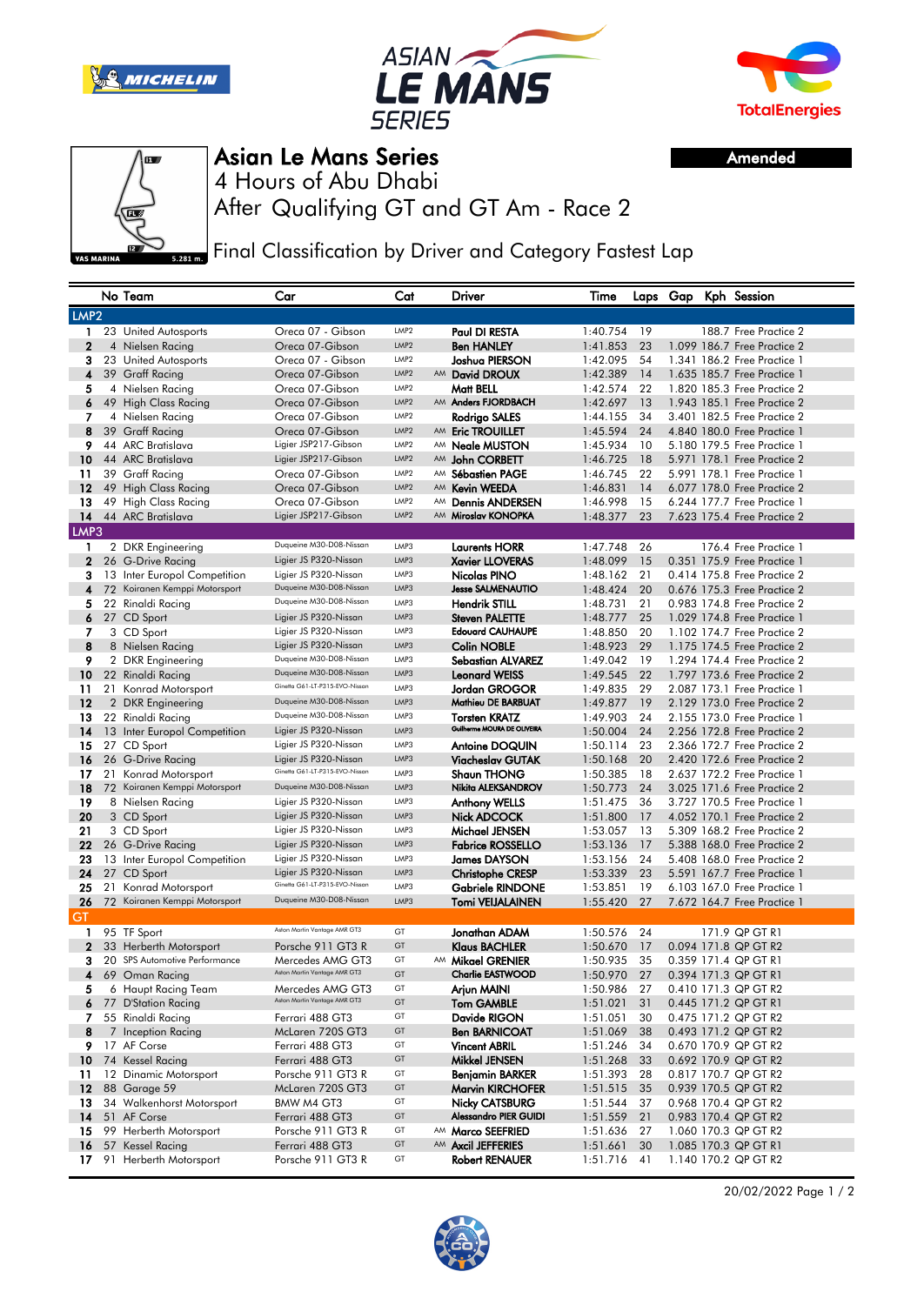





Amended



Asian Le Mans Series

After Qualifying GT and GT Am - Race 2 4 Hours of Abu Dhabi

Final Classification by Driver and Category Fastest Lap

|                  |    | No Team                       | Car                            | Cat              |    | Driver                       | Time     |    |  | Laps Gap Kph Session        |
|------------------|----|-------------------------------|--------------------------------|------------------|----|------------------------------|----------|----|--|-----------------------------|
| LMP <sub>2</sub> |    |                               |                                |                  |    |                              |          |    |  |                             |
| $\mathbf{1}$     |    | 23 United Autosports          | Oreca 07 - Gibson              | LMP2             |    | Paul DI RESTA                | 1:40.754 | 19 |  | 188.7 Free Practice 2       |
| $\mathbf{2}$     |    | 4 Nielsen Racing              | Oreca 07-Gibson                | LMP2             |    | <b>Ben HANLEY</b>            | 1:41.853 | 23 |  | 1.099 186.7 Free Practice 2 |
| 3                |    | 23 United Autosports          | Oreca 07 - Gibson              | LMP2             |    | Joshua PIERSON               | 1:42.095 | 54 |  | 1.341 186.2 Free Practice 1 |
| 4                |    | 39 Graff Racing               | Oreca 07-Gibson                | LMP2             | AM | David DROUX                  | 1:42.389 | 14 |  | 1.635 185.7 Free Practice 1 |
| 5                |    | 4 Nielsen Racing              | Oreca 07-Gibson                | LMP2             |    | Matt BELL                    | 1:42.574 | 22 |  | 1,820 185.3 Free Practice 2 |
| 6                |    | 49 High Class Racing          | Oreca 07-Gibson                | LMP <sub>2</sub> |    | AM Anders FJORDBACH          | 1:42.697 | 13 |  | 1.943 185.1 Free Practice 2 |
| 7                |    | 4 Nielsen Racing              | Oreca 07-Gibson                | LMP2             |    | Rodrigo SALES                | 1:44.155 | 34 |  | 3.401 182.5 Free Practice 2 |
| 8                |    | 39 Graff Racing               | Oreca 07-Gibson                | LMP <sub>2</sub> |    | AM Eric TROUILLET            | 1:45.594 | 24 |  | 4.840 180.0 Free Practice 1 |
| 9                |    | 44 ARC Bratislava             | Ligier JSP217-Gibson           | LMP2             | AM | <b>Neale MUSTON</b>          | 1:45.934 | 10 |  | 5.180 179.5 Free Practice 1 |
| 10               |    | 44 ARC Bratislava             | Ligier JSP217-Gibson           | LMP <sub>2</sub> |    | AM John CORBETT              | 1:46.725 | 18 |  | 5.971 178.1 Free Practice 2 |
| 11               |    | 39 Graff Racing               | Oreca 07-Gibson                | LMP2             | AM | <b>Sébastien PAGE</b>        | 1:46.745 | 22 |  | 5.991 178.1 Free Practice 1 |
| 12               |    | 49 High Class Racing          | Oreca 07-Gibson                | LMP <sub>2</sub> |    | AM Kevin WEEDA               | 1:46.831 | 14 |  | 6.077 178.0 Free Practice 2 |
| 13               |    | 49 High Class Racing          | Oreca 07-Gibson                | LMP <sub>2</sub> | AM | <b>Dennis ANDERSEN</b>       | 1:46.998 | 15 |  | 6.244 177.7 Free Practice 1 |
| 14               |    | 44 ARC Bratislava             | Ligier JSP217-Gibson           | LMP <sub>2</sub> |    | AM Miroslav KONOPKA          | 1:48.377 | 23 |  | 7.623 175.4 Free Practice 2 |
| LMP3             |    |                               |                                |                  |    |                              |          |    |  |                             |
| 1                |    | 2 DKR Engineering             | Duqueine M30-D08-Nissan        | LMP3             |    | <b>Laurents HORR</b>         | 1:47.748 | 26 |  | 176.4 Free Practice 1       |
| $\mathbf{2}$     |    | 26 G-Drive Racing             | Ligier JS P320-Nissan          | LMP3             |    | <b>Xavier LLOVERAS</b>       | 1:48.099 | 15 |  | 0.351 175.9 Free Practice 1 |
| 3                |    | 13 Inter Europol Competition  | Ligier JS P320-Nissan          | LMP3             |    | Nicolas PINO                 | 1:48.162 | 21 |  | 0.414 175.8 Free Practice 2 |
| 4                | 72 | Koiranen Kemppi Motorsport    | Duqueine M30-D08-Nissan        | LMP3             |    | <b>Jesse SALMENAUTIO</b>     | 1:48.424 | 20 |  | 0.676 175.3 Free Practice 2 |
| 5                |    | 22 Rinaldi Racing             | Duqueine M30-D08-Nissan        | LMP3             |    | <b>Hendrik STILL</b>         | 1:48.731 | 21 |  | 0.983 174.8 Free Practice 2 |
| 6                |    | 27 CD Sport                   | Ligier JS P320-Nissan          | LMP3             |    | <b>Steven PALETTE</b>        | 1:48.777 | 25 |  | 1.029 174.8 Free Practice 1 |
| 7                |    | 3 CD Sport                    | Ligier JS P320-Nissan          | LMP3             |    | <b>Edouard CAUHAUPE</b>      | 1:48.850 | 20 |  | 1,102 174.7 Free Practice 2 |
| 8                |    | 8 Nielsen Racing              | Ligier JS P320-Nissan          | LMP3             |    | <b>Colin NOBLE</b>           | 1:48.923 | 29 |  | 1.175 174.5 Free Practice 2 |
| 9                |    | 2 DKR Engineering             | Duqueine M30-D08-Nissan        | LMP3             |    | <b>Sebastian ALVAREZ</b>     | 1:49.042 | 19 |  | 1.294 174.4 Free Practice 2 |
| 10               |    | 22 Rinaldi Racing             | Duqueine M30-D08-Nissan        | LMP3             |    | <b>Leonard WEISS</b>         | 1:49.545 | 22 |  | 1.797 173.6 Free Practice 2 |
| 11               |    | 21 Konrad Motorsport          | Ginetta G61-LT-P315-EVO-Nissan | LMP3             |    | Jordan GROGOR                | 1:49.835 | 29 |  | 2.087 173.1 Free Practice 1 |
| 12               |    | 2 DKR Engineering             | Duaueine M30-D08-Nissan        | LMP3             |    | Mathieu DE BARBUAT           | 1:49.877 | 19 |  | 2.129 173.0 Free Practice 2 |
| 13               |    | 22 Rinaldi Racing             | Duqueine M30-D08-Nissan        | LMP3             |    | <b>Torsten KRATZ</b>         | 1:49.903 | 24 |  | 2.155 173.0 Free Practice 1 |
| 14               |    | 13 Inter Europol Competition  | Ligier JS P320-Nissan          | LMP3             |    | Guilherme MOURA DE OLIVEIRA  | 1:50.004 | 24 |  | 2.256 172.8 Free Practice 2 |
| 15               |    | 27 CD Sport                   | Ligier JS P320-Nissan          | LMP3             |    | <b>Antoine DOQUIN</b>        | 1:50.114 | 23 |  | 2.366 172.7 Free Practice 2 |
| 16               |    | 26 G-Drive Racing             | Ligier JS P320-Nissan          | LMP3             |    | <b>Viacheslav GUTAK</b>      | 1:50.168 | 20 |  | 2.420 172.6 Free Practice 2 |
| 17               |    | 21 Konrad Motorsport          | Ginetta G61-LT-P315-EVO-Nissan | LMP3             |    | <b>Shaun THONG</b>           | 1:50.385 | 18 |  | 2.637 172.2 Free Practice 1 |
| 18               |    | 72 Koiranen Kemppi Motorsport | Duqueine M30-D08-Nissan        | LMP3             |    | Nikita ALEKSANDROV           | 1:50.773 | 24 |  | 3.025 171.6 Free Practice 2 |
| 19               |    | 8 Nielsen Racing              | Ligier JS P320-Nissan          | LMP3             |    | <b>Anthony WELLS</b>         | 1:51.475 | 36 |  | 3.727 170.5 Free Practice 1 |
| 20               |    | 3 CD Sport                    | Ligier JS P320-Nissan          | LMP3             |    | <b>Nick ADCOCK</b>           | 1:51.800 | 17 |  | 4.052 170.1 Free Practice 2 |
| 21               |    | 3 CD Sport                    | Ligier JS P320-Nissan          | LMP3             |    | Michael JENSEN               | 1:53.057 | 13 |  | 5,309 168.2 Free Practice 2 |
| 22               |    | 26 G-Drive Racing             | Ligier JS P320-Nissan          | LMP3             |    | <b>Fabrice ROSSELLO</b>      | 1:53.136 | 17 |  | 5.388 168.0 Free Practice 2 |
| 23               |    | 13 Inter Europol Competition  | Ligier JS P320-Nissan          | LMP3             |    | <b>James DAYSON</b>          | 1:53.156 | 24 |  | 5.408 168.0 Free Practice 2 |
| 24               |    | 27 CD Sport                   | Ligier JS P320-Nissan          | LMP3             |    | <b>Christophe CRESP</b>      | 1:53.339 | 23 |  | 5.591 167.7 Free Practice 1 |
| 25               |    | 21 Konrad Motorsport          | Ginetta G61-LT-P315-EVO-Nissan | LMP3             |    | <b>Gabriele RINDONE</b>      | 1:53.851 | 19 |  | 6.103 167.0 Free Practice 1 |
| 26               |    | 72 Koiranen Kemppi Motorsport | Duqueine M30-D08-Nissan        | LMP3             |    | <b>Tomi VEIJALAINEN</b>      | 1:55.420 | 27 |  | 7.672 164.7 Free Practice 1 |
| GT               |    |                               |                                |                  |    |                              |          |    |  |                             |
| 1                |    | 95 TF Sport                   | Aston Martin Vantage AMR GT3   | GT               |    | Jonathan ADAM                | 1:50.576 | 24 |  | 171.9 QP GT R1              |
| $\mathbf{2}$     |    | 33 Herberth Motorsport        | Porsche 911 GT3 R              | GT               |    | <b>Klaus BACHLER</b>         | 1:50.670 | 17 |  | 0.094 171.8 QP GT R2        |
| з                |    | 20 SPS Automotive Performance | Mercedes AMG GT3               | GT               | AM | <b>Mikael GRENIER</b>        | 1:50.935 | 35 |  | 0.359 171.4 QP GT R1        |
| 4                |    | 69 Oman Racing                | Aston Martin Vantage AMR GT3   | GT               |    | <b>Charlie EASTWOOD</b>      | 1:50.970 | 27 |  | 0.394 171.3 QP GT R1        |
| 5                |    | 6 Haupt Racing Team           | Mercedes AMG GT3               | GT               |    | Arjun MAINI                  | 1:50.986 | 27 |  | 0.410 171.3 QP GT R2        |
|                  |    | 6 77 D'Station Racing         | Aston Martin Vantage AMR GT3   | GT               |    | <b>Tom GAMBLE</b>            | 1:51.021 | 31 |  | 0.445 171.2 QP GT R1        |
| 7.               |    | 55 Rinaldi Racing             | Ferrari 488 GT3                | GT               |    | Davide RIGON                 | 1:51.051 | 30 |  | 0.475 171.2 QP GT R2        |
| 8                |    | 7 Inception Racing            | McLaren 720S GT3               | GT               |    | <b>Ben BARNICOAT</b>         | 1:51.069 | 38 |  | 0.493 171.2 QP GT R2        |
|                  |    | 9 17 AF Corse                 | Ferrari 488 GT3                | GT               |    | <b>Vincent ABRIL</b>         | 1:51.246 | 34 |  | 0.670 170.9 QP GT R2        |
| 10 <sup>°</sup>  |    | 74 Kessel Racing              | Ferrari 488 GT3                | GT               |    | <b>Mikkel JENSEN</b>         | 1:51.268 | 33 |  | 0.692 170.9 QP GT R2        |
| 11.              |    | 12 Dinamic Motorsport         | Porsche 911 GT3 R              | GT               |    | <b>Benjamin BARKER</b>       | 1:51.393 | 28 |  | 0.817 170.7 QP GT R2        |
| 12               |    | 88 Garage 59                  | McLaren 720S GT3               | GT               |    | Marvin KIRCHOFER             | 1:51.515 | 35 |  | 0.939 170.5 QP GT R2        |
| 13               |    | 34 Walkenhorst Motorsport     | BMW M4 GT3                     | GT               |    | Nicky CATSBURG               | 1:51.544 | 37 |  | 0.968 170.4 QP GT R2        |
| 14               |    | 51 AF Corse                   | Ferrari 488 GT3                | GT               |    | <b>Alessandro PIER GUIDI</b> | 1:51.559 | 21 |  | 0.983 170.4 QP GT R2        |
| 15               |    | 99 Herberth Motorsport        | Porsche 911 GT3 R              | GT               |    | AM Marco SEEFRIED            | 1:51.636 | 27 |  | 1.060 170.3 QP GT R2        |
| 16               |    | 57 Kessel Racing              | Ferrari 488 GT3                | GT               |    | AM Axcil JEFFERIES           | 1:51.661 | 30 |  | 1.085 170.3 QP GT R1        |
| 17               |    | 91 Herberth Motorsport        | Porsche 911 GT3 R              | GТ               |    | <b>Robert RENAUER</b>        | 1:51.716 | 41 |  | 1.140 170.2 QP GT R2        |